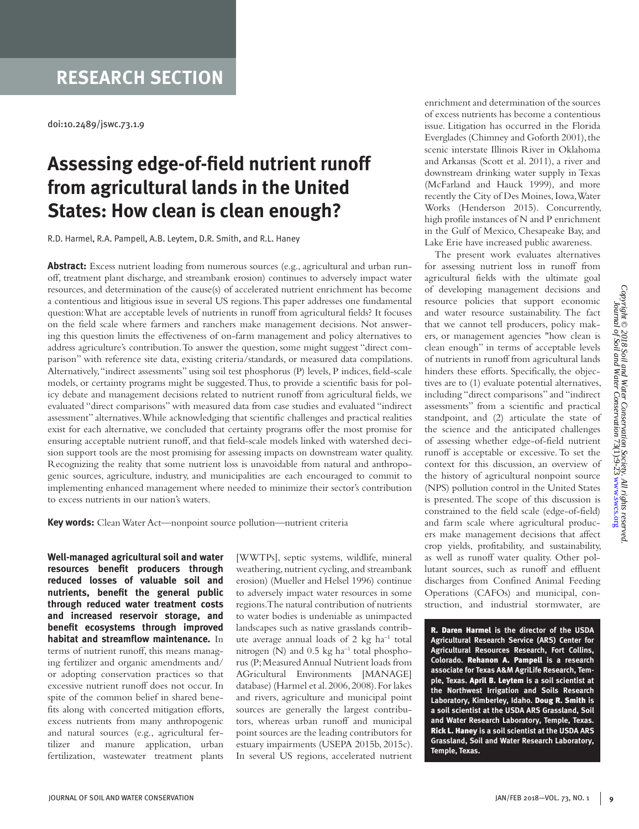# **RESEARCH SECTION**

doi:10.2489/jswc.73.1.9

# **Assessing edge-of-field nutrient runoff from agricultural lands in the United States: How clean is clean enough?**

R.D. Harmel, R.A. Pampell, A.B. Leytem, D.R. Smith, and R.L. Haney

Abstract: Excess nutrient loading from numerous sources (e.g., agricultural and urban runoff, treatment plant discharge, and streambank erosion) continues to adversely impact water resources, and determination of the cause(s) of accelerated nutrient enrichment has become a contentious and litigious issue in several US regions. This paper addresses one fundamental question: What are acceptable levels of nutrients in runoff from agricultural fields? It focuses on the field scale where farmers and ranchers make management decisions. Not answering this question limits the effectiveness of on-farm management and policy alternatives to address agriculture's contribution. To answer the question, some might suggest "direct comparison" with reference site data, existing criteria/standards, or measured data compilations. Alternatively, "indirect assessments" using soil test phosphorus (P) levels, P indices, field-scale models, or certainty programs might be suggested. Thus, to provide a scientific basis for policy debate and management decisions related to nutrient runoff from agricultural fields, we evaluated "direct comparisons" with measured data from case studies and evaluated "indirect assessment" alternatives. While acknowledging that scientific challenges and practical realities exist for each alternative, we concluded that certainty programs offer the most promise for ensuring acceptable nutrient runoff, and that field-scale models linked with watershed decision support tools are the most promising for assessing impacts on downstream water quality. Recognizing the reality that some nutrient loss is unavoidable from natural and anthropogenic sources, agriculture, industry, and municipalities are each encouraged to commit to implementing enhanced management where needed to minimize their sector's contribution to excess nutrients in our nation's waters.

**Key words:** Clean Water Act—nonpoint source pollution—nutrient criteria

**Well-managed agricultural soil and water resources benefit producers through reduced losses of valuable soil and nutrients, benefit the general public through reduced water treatment costs and increased reservoir storage, and benefit ecosystems through improved habitat and streamflow maintenance.** In terms of nutrient runoff, this means managing fertilizer and organic amendments and/ or adopting conservation practices so that excessive nutrient runoff does not occur. In spite of the common belief in shared benefits along with concerted mitigation efforts, excess nutrients from many anthropogenic and natural sources (e.g., agricultural fertilizer and manure application, urban fertilization, wastewater treatment plants

[WWTPs], septic systems, wildlife, mineral weathering, nutrient cycling, and streambank erosion) (Mueller and Helsel 1996) continue to adversely impact water resources in some regions. The natural contribution of nutrients to water bodies is undeniable as unimpacted landscapes such as native grasslands contribute average annual loads of 2 kg ha–1 total nitrogen (N) and  $0.5 \text{ kg}$  ha<sup>-1</sup> total phosphorus (P; Measured Annual Nutrient loads from AGricultural Environments [MANAGE] database) (Harmel et al. 2006, 2008). For lakes and rivers, agriculture and municipal point sources are generally the largest contributors, whereas urban runoff and municipal point sources are the leading contributors for estuary impairments (USEPA 2015b, 2015c). In several US regions, accelerated nutrient enrichment and determination of the sources of excess nutrients has become a contentious issue. Litigation has occurred in the Florida Everglades (Chimney and Goforth 2001), the scenic interstate Illinois River in Oklahoma and Arkansas (Scott et al. 2011), a river and downstream drinking water supply in Texas (McFarland and Hauck 1999), and more recently the City of Des Moines, Iowa, Water Works (Henderson 2015). Concurrently, high profile instances of N and P enrichment in the Gulf of Mexico, Chesapeake Bay, and Lake Erie have increased public awareness.

The present work evaluates alternatives for assessing nutrient loss in runoff from agricultural fields with the ultimate goal of developing management decisions and resource policies that support economic and water resource sustainability. The fact that we cannot tell producers, policy makers, or management agencies "how clean is clean enough" in terms of acceptable levels of nutrients in runoff from agricultural lands hinders these efforts. Specifically, the objectives are to (1) evaluate potential alternatives, including "direct comparisons" and "indirect assessments" from a scientific and practical standpoint, and (2) articulate the state of the science and the anticipated challenges of assessing whether edge-of-field nutrient runoff is acceptable or excessive. To set the context for this discussion, an overview of the history of agricultural nonpoint source (NPS) pollution control in the United States is presented. The scope of this discussion is constrained to the field scale (edge-of-field) and farm scale where agricultural producers make management decisions that affect crop yields, profitability, and sustainability, as well as runoff water quality. Other pollutant sources, such as runoff and effluent discharges from Confined Animal Feeding Operations (CAFOs) and municipal, construction, and industrial stormwater, are

R. Daren Harmel **is the director of the USDA Agricultural Research Service (ARS) Center for Agricultural Resources Research, Fort Collins, Colorado.** Rehanon A. Pampell **is a research associate for Texas A&M AgriLife Research, Temple, Texas.** April B. Leytem **is a soil scientist at the Northwest Irrigation and Soils Research Laboratory, Kimberley, Idaho.** Doug R. Smith **is a soil scientist at the USDA ARS Grassland, Soil and Water Research Laboratory, Temple, Texas.**  Rick L. Haney **is a soil scientist at the USDA ARS Grassland, Soil and Water Research Laboratory, Temple, Texas.**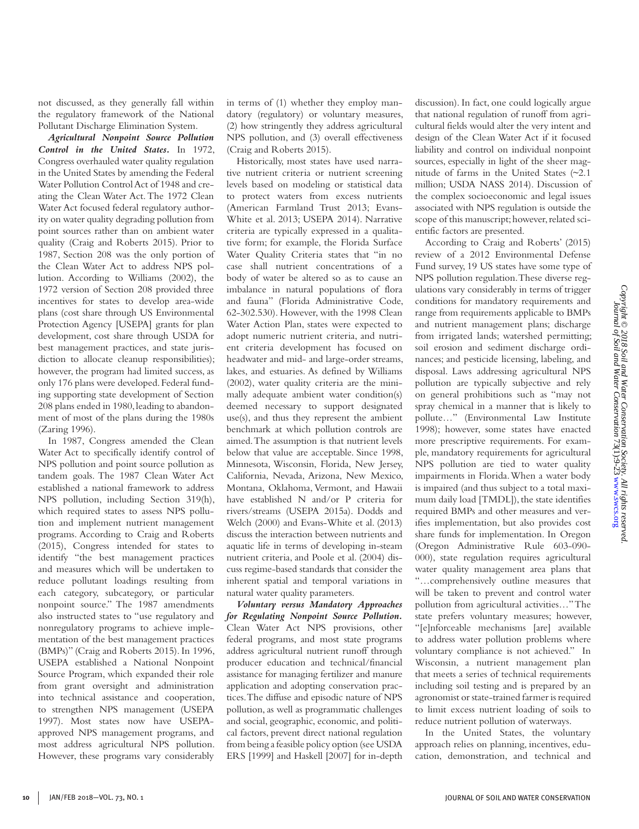not discussed, as they generally fall within the regulatory framework of the National Pollutant Discharge Elimination System.

*Agricultural Nonpoint Source Pollution Control in the United States.* In 1972, Congress overhauled water quality regulation in the United States by amending the Federal Water Pollution Control Act of 1948 and creating the Clean Water Act. The 1972 Clean Water Act focused federal regulatory authority on water quality degrading pollution from point sources rather than on ambient water quality (Craig and Roberts 2015). Prior to 1987, Section 208 was the only portion of the Clean Water Act to address NPS pollution. According to Williams (2002), the 1972 version of Section 208 provided three incentives for states to develop area-wide plans (cost share through US Environmental Protection Agency [USEPA] grants for plan development, cost share through USDA for best management practices, and state jurisdiction to allocate cleanup responsibilities); however, the program had limited success, as only 176 plans were developed. Federal funding supporting state development of Section 208 plans ended in 1980, leading to abandonment of most of the plans during the 1980s (Zaring 1996).

In 1987, Congress amended the Clean Water Act to specifically identify control of NPS pollution and point source pollution as tandem goals. The 1987 Clean Water Act established a national framework to address NPS pollution, including Section 319(h), which required states to assess NPS pollution and implement nutrient management programs. According to Craig and Roberts (2015), Congress intended for states to identify "the best management practices and measures which will be undertaken to reduce pollutant loadings resulting from each category, subcategory, or particular nonpoint source." The 1987 amendments also instructed states to "use regulatory and nonregulatory programs to achieve implementation of the best management practices (BMPs)" (Craig and Roberts 2015). In 1996, USEPA established a National Nonpoint Source Program, which expanded their role from grant oversight and administration into technical assistance and cooperation, to strengthen NPS management (USEPA 1997). Most states now have USEPAapproved NPS management programs, and most address agricultural NPS pollution. However, these programs vary considerably in terms of (1) whether they employ mandatory (regulatory) or voluntary measures, (2) how stringently they address agricultural NPS pollution, and (3) overall effectiveness (Craig and Roberts 2015).

Historically, most states have used narrative nutrient criteria or nutrient screening levels based on modeling or statistical data to protect waters from excess nutrients (American Farmland Trust 2013; Evans-White et al. 2013; USEPA 2014). Narrative criteria are typically expressed in a qualitative form; for example, the Florida Surface Water Quality Criteria states that "in no case shall nutrient concentrations of a body of water be altered so as to cause an imbalance in natural populations of flora and fauna" (Florida Administrative Code, 62-302.530). However, with the 1998 Clean Water Action Plan, states were expected to adopt numeric nutrient criteria, and nutrient criteria development has focused on headwater and mid- and large-order streams, lakes, and estuaries. As defined by Williams (2002), water quality criteria are the minimally adequate ambient water condition(s) deemed necessary to support designated use(s), and thus they represent the ambient benchmark at which pollution controls are aimed. The assumption is that nutrient levels below that value are acceptable. Since 1998, Minnesota, Wisconsin, Florida, New Jersey, California, Nevada, Arizona, New Mexico, Montana, Oklahoma, Vermont, and Hawaii have established N and/or P criteria for rivers/streams (USEPA 2015a). Dodds and Welch (2000) and Evans-White et al. (2013) discuss the interaction between nutrients and aquatic life in terms of developing in-steam nutrient criteria, and Poole et al. (2004) discuss regime-based standards that consider the inherent spatial and temporal variations in natural water quality parameters.

*Voluntary versus Mandatory Approaches for Regulating Nonpoint Source Pollution.*  Clean Water Act NPS provisions, other federal programs, and most state programs address agricultural nutrient runoff through producer education and technical/financial assistance for managing fertilizer and manure application and adopting conservation practices. The diffuse and episodic nature of NPS pollution, as well as programmatic challenges and social, geographic, economic, and political factors, prevent direct national regulation from being a feasible policy option (see USDA ERS [1999] and Haskell [2007] for in-depth discussion). In fact, one could logically argue that national regulation of runoff from agricultural fields would alter the very intent and design of the Clean Water Act if it focused liability and control on individual nonpoint sources, especially in light of the sheer magnitude of farms in the United States (~2.1 million; USDA NASS 2014). Discussion of the complex socioeconomic and legal issues associated with NPS regulation is outside the scope of this manuscript; however, related scientific factors are presented.

According to Craig and Roberts' (2015) review of a 2012 Environmental Defense Fund survey, 19 US states have some type of NPS pollution regulation. These diverse regulations vary considerably in terms of trigger conditions for mandatory requirements and range from requirements applicable to BMPs and nutrient management plans; discharge from irrigated lands; watershed permitting; soil erosion and sediment discharge ordinances; and pesticide licensing, labeling, and disposal. Laws addressing agricultural NPS pollution are typically subjective and rely on general prohibitions such as "may not spray chemical in a manner that is likely to pollute…" (Environmental Law Institute 1998); however, some states have enacted more prescriptive requirements. For example, mandatory requirements for agricultural NPS pollution are tied to water quality impairments in Florida. When a water body is impaired (and thus subject to a total maximum daily load [TMDL]), the state identifies required BMPs and other measures and verifies implementation, but also provides cost share funds for implementation. In Oregon (Oregon Administrative Rule 603-090- 000), state regulation requires agricultural water quality management area plans that "…comprehensively outline measures that will be taken to prevent and control water pollution from agricultural activities…" The state prefers voluntary measures; however, "[e]nforceable mechanisms [are] available to address water pollution problems where voluntary compliance is not achieved." In Wisconsin, a nutrient management plan that meets a series of technical requirements including soil testing and is prepared by an agronomist or state-trained farmer is required to limit excess nutrient loading of soils to reduce nutrient pollution of waterways.

In the United States, the voluntary approach relies on planning, incentives, education, demonstration, and technical and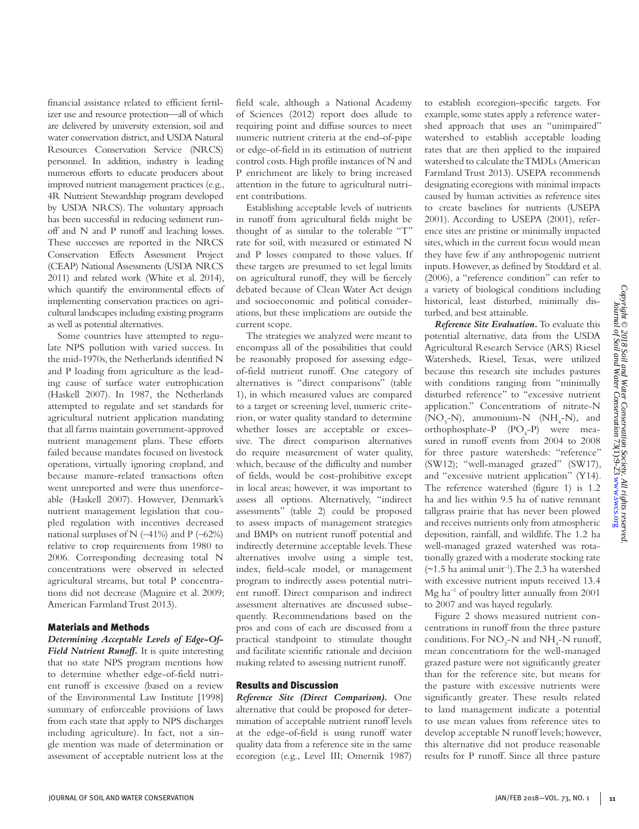financial assistance related to efficient fertilizer use and resource protection—all of which are delivered by university extension, soil and water conservation district, and USDA Natural Resources Conservation Service (NRCS) personnel. In addition, industry is leading numerous efforts to educate producers about improved nutrient management practices (e.g., 4R Nutrient Stewardship program developed by USDA NRCS). The voluntary approach has been successful in reducing sediment runoff and N and P runoff and leaching losses. These successes are reported in the NRCS Conservation Effects Assessment Project (CEAP) National Assessments (USDA NRCS 2011) and related work (White et al. 2014), which quantify the environmental effects of implementing conservation practices on agricultural landscapes including existing programs as well as potential alternatives.

Some countries have attempted to regulate NPS pollution with varied success. In the mid-1970s, the Netherlands identified N and P loading from agriculture as the leading cause of surface water eutrophication (Haskell 2007). In 1987, the Netherlands attempted to regulate and set standards for agricultural nutrient application mandating that all farms maintain government-approved nutrient management plans. These efforts failed because mandates focused on livestock operations, virtually ignoring cropland, and because manure-related transactions often went unreported and were thus unenforceable (Haskell 2007). However, Denmark's nutrient management legislation that coupled regulation with incentives decreased national surpluses of N  $(-41\%)$  and P  $(-62\%)$ relative to crop requirements from 1980 to 2006. Corresponding decreasing total N concentrations were observed in selected agricultural streams, but total P concentrations did not decrease (Maguire et al. 2009; American Farmland Trust 2013).

#### Materials and Methods

*Determining Acceptable Levels of Edge-Of-Field Nutrient Runoff.* It is quite interesting that no state NPS program mentions how to determine whether edge-of-field nutrient runoff is excessive (based on a review of the Environmental Law Institute [1998] summary of enforceable provisions of laws from each state that apply to NPS discharges including agriculture). In fact, not a single mention was made of determination or assessment of acceptable nutrient loss at the

field scale, although a National Academy of Sciences (2012) report does allude to requiring point and diffuse sources to meet numeric nutrient criteria at the end-of-pipe or edge-of-field in its estimation of nutrient control costs. High profile instances of N and P enrichment are likely to bring increased attention in the future to agricultural nutrient contributions.

Establishing acceptable levels of nutrients in runoff from agricultural fields might be thought of as similar to the tolerable "T" rate for soil, with measured or estimated N and P losses compared to those values. If these targets are presumed to set legal limits on agricultural runoff, they will be fiercely debated because of Clean Water Act design and socioeconomic and political considerations, but these implications are outside the current scope.

The strategies we analyzed were meant to encompass all of the possibilities that could be reasonably proposed for assessing edgeof-field nutrient runoff. One category of alternatives is "direct comparisons" (table 1), in which measured values are compared to a target or screening level, numeric criterion, or water quality standard to determine whether losses are acceptable or excessive. The direct comparison alternatives do require measurement of water quality, which, because of the difficulty and number of fields, would be cost-prohibitive except in local areas; however, it was important to assess all options. Alternatively, "indirect assessments" (table 2) could be proposed to assess impacts of management strategies and BMPs on nutrient runoff potential and indirectly determine acceptable levels. These alternatives involve using a simple test, index, field-scale model, or management program to indirectly assess potential nutrient runoff. Direct comparison and indirect assessment alternatives are discussed subsequently. Recommendations based on the pros and cons of each are discussed from a practical standpoint to stimulate thought and facilitate scientific rationale and decision making related to assessing nutrient runoff.

## Results and Discussion

*Reference Site (Direct Comparison).* One alternative that could be proposed for determination of acceptable nutrient runoff levels at the edge-of-field is using runoff water quality data from a reference site in the same ecoregion (e.g., Level III; Omernik 1987)

to establish ecoregion-specific targets. For example, some states apply a reference watershed approach that uses an "unimpaired" watershed to establish acceptable loading rates that are then applied to the impaired watershed to calculate the TMDLs (American Farmland Trust 2013). USEPA recommends designating ecoregions with minimal impacts caused by human activities as reference sites to create baselines for nutrients (USEPA 2001). According to USEPA (2001), reference sites are pristine or minimally impacted sites, which in the current focus would mean they have few if any anthropogenic nutrient inputs. However, as defined by Stoddard et al. (2006), a "reference condition" can refer to a variety of biological conditions including historical, least disturbed, minimally disturbed, and best attainable.

*Reference Site Evaluation.* To evaluate this potential alternative, data from the USDA Agricultural Research Service (ARS) Riesel Watersheds, Riesel, Texas, were utilized because this research site includes pastures with conditions ranging from "minimally disturbed reference" to "excessive nutrient application." Concentrations of nitrate-N ( $NO<sub>3</sub>-N$ ), ammonium-N ( $NH<sub>4</sub>-N$ ), and  $orthophosphate-P$   $(PO<sub>4</sub>-P)$  were measured in runoff events from 2004 to 2008 for three pasture watersheds: "reference" (SW12); "well-managed grazed" (SW17), and "excessive nutrient application" (Y14). The reference watershed (figure 1) is 1.2 ha and lies within 9.5 ha of native remnant tallgrass prairie that has never been plowed and receives nutrients only from atmospheric deposition, rainfall, and wildlife. The 1.2 ha well-managed grazed watershed was rotationally grazed with a moderate stocking rate  $(-1.5$  ha animal unit<sup>-1</sup>). The 2.3 ha watershed with excessive nutrient inputs received 13.4  $Mg$  ha<sup>-1</sup> of poultry litter annually from 2001 to 2007 and was hayed regularly.

Figure 2 shows measured nutrient concentrations in runoff from the three pasture conditions. For  $NO_3$ -N and  $NH_4$ -N runoff, mean concentrations for the well-managed grazed pasture were not significantly greater than for the reference site, but means for the pasture with excessive nutrients were significantly greater. These results related to land management indicate a potential to use mean values from reference sites to develop acceptable N runoff levels; however, this alternative did not produce reasonable results for P runoff. Since all three pasture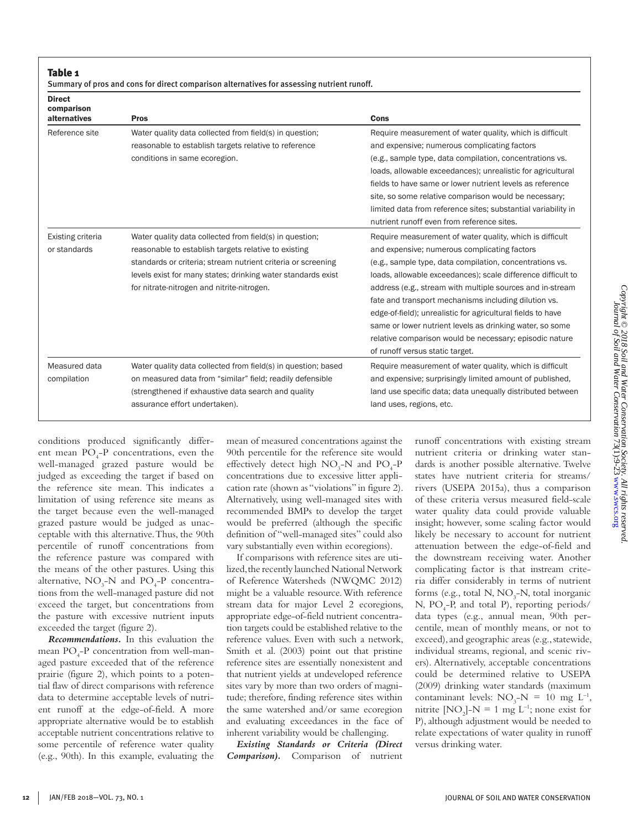#### Table 1

Summary of pros and cons for direct comparison alternatives for assessing nutrient runoff.

| <b>Direct</b><br>comparison<br>alternatives | <b>Pros</b>                                                                                                                                                                                                                                                                                   | <b>Cons</b>                                                                                                                                                                                                                                                                                                                                                                                                                                                                                                                                                                        |
|---------------------------------------------|-----------------------------------------------------------------------------------------------------------------------------------------------------------------------------------------------------------------------------------------------------------------------------------------------|------------------------------------------------------------------------------------------------------------------------------------------------------------------------------------------------------------------------------------------------------------------------------------------------------------------------------------------------------------------------------------------------------------------------------------------------------------------------------------------------------------------------------------------------------------------------------------|
| Reference site                              | Water quality data collected from field(s) in question;<br>reasonable to establish targets relative to reference<br>conditions in same ecoregion.                                                                                                                                             | Require measurement of water quality, which is difficult<br>and expensive; numerous complicating factors<br>(e.g., sample type, data compilation, concentrations vs.<br>loads, allowable exceedances); unrealistic for agricultural<br>fields to have same or lower nutrient levels as reference<br>site, so some relative comparison would be necessary;<br>limited data from reference sites; substantial variability in<br>nutrient runoff even from reference sites.                                                                                                           |
| Existing criteria<br>or standards           | Water quality data collected from field(s) in question;<br>reasonable to establish targets relative to existing<br>standards or criteria; stream nutrient criteria or screening<br>levels exist for many states; drinking water standards exist<br>for nitrate-nitrogen and nitrite-nitrogen. | Require measurement of water quality, which is difficult<br>and expensive; numerous complicating factors<br>(e.g., sample type, data compilation, concentrations vs.<br>loads, allowable exceedances); scale difference difficult to<br>address (e.g., stream with multiple sources and in-stream<br>fate and transport mechanisms including dilution vs.<br>edge-of-field); unrealistic for agricultural fields to have<br>same or lower nutrient levels as drinking water, so some<br>relative comparison would be necessary; episodic nature<br>of runoff versus static target. |
| Measured data<br>compilation                | Water quality data collected from field(s) in question; based<br>on measured data from "similar" field; readily defensible<br>(strengthened if exhaustive data search and quality<br>assurance effort undertaken).                                                                            | Require measurement of water quality, which is difficult<br>and expensive; surprisingly limited amount of published,<br>land use specific data; data unequally distributed between<br>land uses, regions, etc.                                                                                                                                                                                                                                                                                                                                                                     |

conditions produced significantly different mean  $PO_4$ -P concentrations, even the well-managed grazed pasture would be judged as exceeding the target if based on the reference site mean. This indicates a limitation of using reference site means as the target because even the well-managed grazed pasture would be judged as unacceptable with this alternative. Thus, the 90th percentile of runoff concentrations from the reference pasture was compared with the means of the other pastures. Using this alternative,  $NO_3$ -N and  $PO_4$ -P concentrations from the well-managed pasture did not exceed the target, but concentrations from the pasture with excessive nutrient inputs exceeded the target (figure 2).

*Recommendations.* In this evaluation the mean PO<sub>4</sub>-P concentration from well-managed pasture exceeded that of the reference prairie (figure 2), which points to a potential flaw of direct comparisons with reference data to determine acceptable levels of nutrient runoff at the edge-of-field. A more appropriate alternative would be to establish acceptable nutrient concentrations relative to some percentile of reference water quality (e.g., 90th). In this example, evaluating the mean of measured concentrations against the 90th percentile for the reference site would effectively detect high  $NO_3$ -N and  $PO_4$ -P concentrations due to excessive litter application rate (shown as "violations" in figure 2). Alternatively, using well-managed sites with recommended BMPs to develop the target would be preferred (although the specific definition of "well-managed sites" could also vary substantially even within ecoregions).

If comparisons with reference sites are utilized, the recently launched National Network of Reference Watersheds (NWQMC 2012) might be a valuable resource. With reference stream data for major Level 2 ecoregions, appropriate edge-of-field nutrient concentration targets could be established relative to the reference values. Even with such a network, Smith et al. (2003) point out that pristine reference sites are essentially nonexistent and that nutrient yields at undeveloped reference sites vary by more than two orders of magnitude; therefore, finding reference sites within the same watershed and/or same ecoregion and evaluating exceedances in the face of inherent variability would be challenging.

*Existing Standards or Criteria (Direct Comparison).* Comparison of nutrient

runoff concentrations with existing stream nutrient criteria or drinking water standards is another possible alternative. Twelve states have nutrient criteria for streams/ rivers (USEPA 2015a), thus a comparison of these criteria versus measured field-scale water quality data could provide valuable insight; however, some scaling factor would likely be necessary to account for nutrient attenuation between the edge-of-field and the downstream receiving water. Another complicating factor is that instream criteria differ considerably in terms of nutrient forms (e.g., total  $N$ ,  $NO<sub>3</sub>$ - $N$ , total inorganic N, PO<sub>4</sub>-P, and total P), reporting periods/ data types (e.g., annual mean, 90th percentile, mean of monthly means, or not to exceed), and geographic areas (e.g., statewide, individual streams, regional, and scenic rivers). Alternatively, acceptable concentrations could be determined relative to USEPA (2009) drinking water standards (maximum contaminant levels:  $NO_3-N = 10$  mg L<sup>-1</sup>, mitrite  $[NO_2] - N = 1$  mg L<sup>-1</sup>; none exist for P), although adjustment would be needed to relate expectations of water quality in runoff versus drinking water.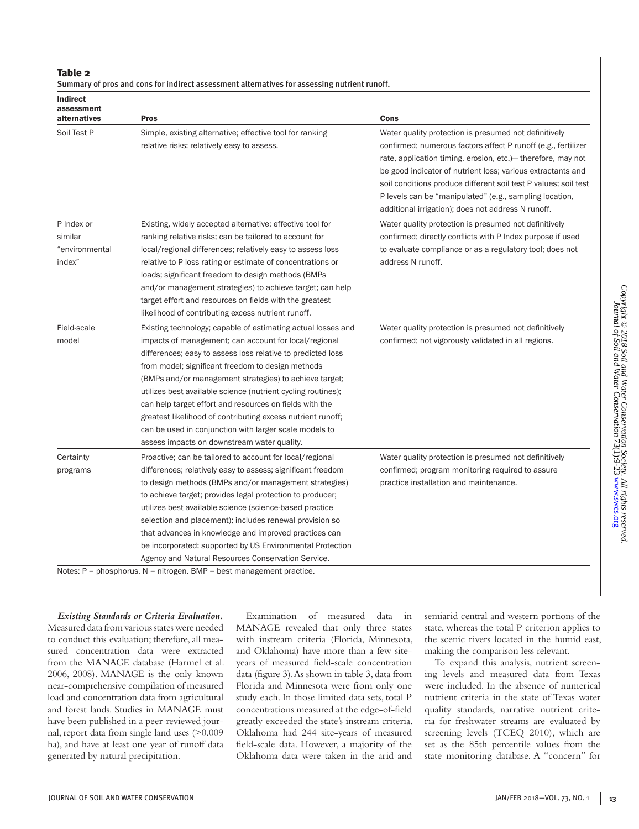| I |  |
|---|--|
|---|--|

Summary of pros and cons for indirect assessment alternatives for assessing nutrient runoff.

| <b>Indirect</b><br>assessment                     |                                                                                                                                                                                                                                                                                                                                                                                                                                                                                                                                                                                                                         |                                                                                                                                                                                                                                                                                                                                                                                                                                           |
|---------------------------------------------------|-------------------------------------------------------------------------------------------------------------------------------------------------------------------------------------------------------------------------------------------------------------------------------------------------------------------------------------------------------------------------------------------------------------------------------------------------------------------------------------------------------------------------------------------------------------------------------------------------------------------------|-------------------------------------------------------------------------------------------------------------------------------------------------------------------------------------------------------------------------------------------------------------------------------------------------------------------------------------------------------------------------------------------------------------------------------------------|
| alternatives                                      | Pros                                                                                                                                                                                                                                                                                                                                                                                                                                                                                                                                                                                                                    | Cons                                                                                                                                                                                                                                                                                                                                                                                                                                      |
| Soil Test P                                       | Simple, existing alternative; effective tool for ranking<br>relative risks; relatively easy to assess.                                                                                                                                                                                                                                                                                                                                                                                                                                                                                                                  | Water quality protection is presumed not definitively<br>confirmed; numerous factors affect P runoff (e.g., fertilizer<br>rate, application timing, erosion, etc.)— therefore, may not<br>be good indicator of nutrient loss; various extractants and<br>soil conditions produce different soil test P values; soil test<br>P levels can be "manipulated" (e.g., sampling location,<br>additional irrigation); does not address N runoff. |
| P Index or<br>similar<br>"environmental<br>index" | Existing, widely accepted alternative; effective tool for<br>ranking relative risks; can be tailored to account for<br>local/regional differences; relatively easy to assess loss<br>relative to P loss rating or estimate of concentrations or<br>loads; significant freedom to design methods (BMPs)<br>and/or management strategies) to achieve target; can help<br>target effort and resources on fields with the greatest<br>likelihood of contributing excess nutrient runoff.                                                                                                                                    | Water quality protection is presumed not definitively<br>confirmed; directly conflicts with P Index purpose if used<br>to evaluate compliance or as a regulatory tool; does not<br>address N runoff.                                                                                                                                                                                                                                      |
| Field-scale<br>model                              | Existing technology; capable of estimating actual losses and<br>impacts of management; can account for local/regional<br>differences; easy to assess loss relative to predicted loss<br>from model; significant freedom to design methods<br>(BMPs and/or management strategies) to achieve target;<br>utilizes best available science (nutrient cycling routines);<br>can help target effort and resources on fields with the<br>greatest likelihood of contributing excess nutrient runoff;<br>can be used in conjunction with larger scale models to<br>assess impacts on downstream water quality.                  | Water quality protection is presumed not definitively<br>confirmed; not vigorously validated in all regions.                                                                                                                                                                                                                                                                                                                              |
| Certainty<br>programs                             | Proactive; can be tailored to account for local/regional<br>differences; relatively easy to assess; significant freedom<br>to design methods (BMPs and/or management strategies)<br>to achieve target; provides legal protection to producer;<br>utilizes best available science (science-based practice<br>selection and placement); includes renewal provision so<br>that advances in knowledge and improved practices can<br>be incorporated; supported by US Environmental Protection<br>Agency and Natural Resources Conservation Service.<br>Notes: P = phosphorus. N = nitrogen. BMP = best management practice. | Water quality protection is presumed not definitively<br>confirmed; program monitoring required to assure<br>practice installation and maintenance.                                                                                                                                                                                                                                                                                       |

*Existing Standards or Criteria Evaluation.* 

Measured data from various states were needed to conduct this evaluation; therefore, all measured concentration data were extracted from the MANAGE database (Harmel et al. 2006, 2008). MANAGE is the only known near-comprehensive compilation of measured load and concentration data from agricultural and forest lands. Studies in MANAGE must have been published in a peer-reviewed journal, report data from single land uses (>0.009 ha), and have at least one year of runoff data generated by natural precipitation.

Examination of measured data in MANAGE revealed that only three states with instream criteria (Florida, Minnesota, and Oklahoma) have more than a few siteyears of measured field-scale concentration data (figure 3). As shown in table 3, data from Florida and Minnesota were from only one study each. In those limited data sets, total P concentrations measured at the edge-of-field greatly exceeded the state's instream criteria. Oklahoma had 244 site-years of measured field-scale data. However, a majority of the Oklahoma data were taken in the arid and semiarid central and western portions of the state, whereas the total P criterion applies to the scenic rivers located in the humid east, making the comparison less relevant.

To expand this analysis, nutrient screening levels and measured data from Texas were included. In the absence of numerical nutrient criteria in the state of Texas water quality standards, narrative nutrient criteria for freshwater streams are evaluated by screening levels (TCEQ 2010), which are set as the 85th percentile values from the state monitoring database. A "concern" for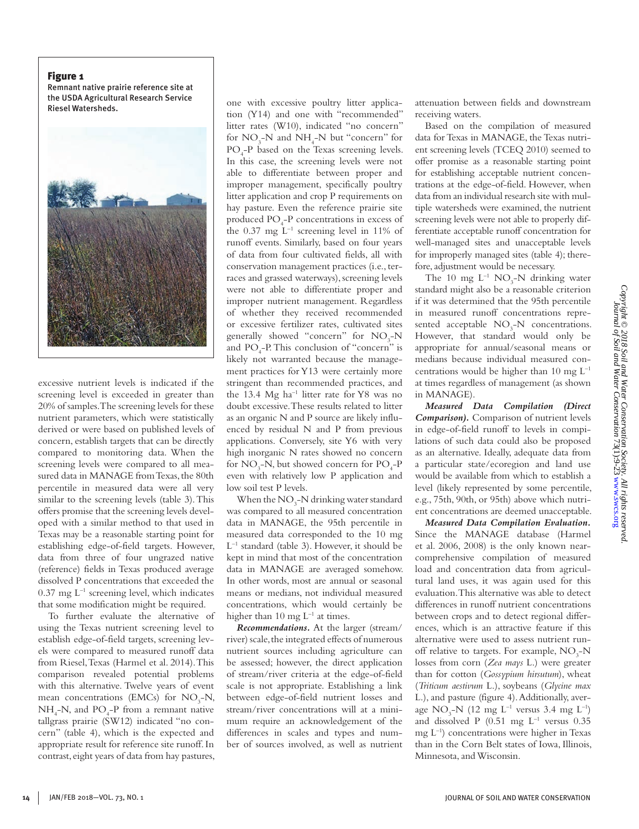Remnant native prairie reference site at the USDA Agricultural Research Service Riesel Watersheds.



excessive nutrient levels is indicated if the screening level is exceeded in greater than 20% of samples. The screening levels for these nutrient parameters, which were statistically derived or were based on published levels of concern, establish targets that can be directly compared to monitoring data. When the screening levels were compared to all measured data in MANAGE from Texas, the 80th percentile in measured data were all very similar to the screening levels (table 3). This offers promise that the screening levels developed with a similar method to that used in Texas may be a reasonable starting point for establishing edge-of-field targets. However, data from three of four ungrazed native (reference) fields in Texas produced average dissolved P concentrations that exceeded the  $0.37 \text{ mg } L^{-1}$  screening level, which indicates that some modification might be required.

To further evaluate the alternative of using the Texas nutrient screening level to establish edge-of-field targets, screening levels were compared to measured runoff data from Riesel, Texas (Harmel et al. 2014). This comparison revealed potential problems with this alternative. Twelve years of event mean concentrations (EMCs) for  $NO<sub>3</sub>-N$ ,  $NH_{4}$ -N, and  $PO_{4}$ -P from a remnant native tallgrass prairie (SW12) indicated "no concern" (table 4), which is the expected and appropriate result for reference site runoff. In contrast, eight years of data from hay pastures,

one with excessive poultry litter application (Y14) and one with "recommended" litter rates (W10), indicated "no concern" for  $NO_3$ -N and  $NH_4$ -N but "concern" for PO<sub>4</sub>-P based on the Texas screening levels. In this case, the screening levels were not able to differentiate between proper and improper management, specifically poultry litter application and crop P requirements on hay pasture. Even the reference prairie site produced PO<sub>4</sub>-P concentrations in excess of the 0.37 mg  $L^{-1}$  screening level in 11% of runoff events. Similarly, based on four years of data from four cultivated fields, all with conservation management practices (i.e., terraces and grassed waterways), screening levels were not able to differentiate proper and improper nutrient management. Regardless of whether they received recommended or excessive fertilizer rates, cultivated sites generally showed "concern" for  $NO<sub>3</sub>-N$ and  $PO_4$ -P. This conclusion of "concern" is likely not warranted because the management practices for Y13 were certainly more stringent than recommended practices, and the 13.4 Mg ha–1 litter rate for Y8 was no doubt excessive. These results related to litter as an organic N and P source are likely influenced by residual N and P from previous applications. Conversely, site Y6 with very high inorganic N rates showed no concern for  $NO_3$ -N, but showed concern for  $PO_4$ -P even with relatively low P application and low soil test P levels.

When the  $\rm{NO_{3}\text{-}N}$  drinking water standard was compared to all measured concentration data in MANAGE, the 95th percentile in measured data corresponded to the 10 mg  $L^{-1}$  standard (table 3). However, it should be kept in mind that most of the concentration data in MANAGE are averaged somehow. In other words, most are annual or seasonal means or medians, not individual measured concentrations, which would certainly be higher than 10 mg  $L^{-1}$  at times.

*Recommendations.* At the larger (stream/ river) scale, the integrated effects of numerous nutrient sources including agriculture can be assessed; however, the direct application of stream/river criteria at the edge-of-field scale is not appropriate. Establishing a link between edge-of-field nutrient losses and stream/river concentrations will at a minimum require an acknowledgement of the differences in scales and types and number of sources involved, as well as nutrient attenuation between fields and downstream receiving waters.

Based on the compilation of measured data for Texas in MANAGE, the Texas nutrient screening levels (TCEQ 2010) seemed to offer promise as a reasonable starting point for establishing acceptable nutrient concentrations at the edge-of-field. However, when data from an individual research site with multiple watersheds were examined, the nutrient screening levels were not able to properly differentiate acceptable runoff concentration for well-managed sites and unacceptable levels for improperly managed sites (table 4); therefore, adjustment would be necessary.

The 10 mg  $L^{-1}$  NO<sub>3</sub>-N drinking water standard might also be a reasonable criterion if it was determined that the 95th percentile in measured runoff concentrations represented acceptable  $NO<sub>3</sub>–N$  concentrations. However, that standard would only be appropriate for annual/seasonal means or medians because individual measured concentrations would be higher than 10 mg  $L^{-1}$ at times regardless of management (as shown in MANAGE).

*Measured Data Compilation (Direct Comparison).* Comparison of nutrient levels in edge-of-field runoff to levels in compilations of such data could also be proposed as an alternative. Ideally, adequate data from a particular state/ecoregion and land use would be available from which to establish a level (likely represented by some percentile, e.g., 75th, 90th, or 95th) above which nutrient concentrations are deemed unacceptable.

*Measured Data Compilation Evaluation.*  Since the MANAGE database (Harmel et al. 2006, 2008) is the only known nearcomprehensive compilation of measured load and concentration data from agricultural land uses, it was again used for this evaluation. This alternative was able to detect differences in runoff nutrient concentrations between crops and to detect regional differences, which is an attractive feature if this alternative were used to assess nutrient runoff relative to targets. For example,  $NO<sub>3</sub>$ -N losses from corn (*Zea mays* L.) were greater than for cotton (*Gossypium hirsutum*), wheat (*Triticum aestivum* L.), soybeans (*Glycine max*  L.), and pasture (figure 4). Additionally, average  $NO_3$ - $N$  (12 mg L<sup>-1</sup> versus 3.4 mg L<sup>-1</sup>) and dissolved P  $(0.51 \text{ mg } L^{-1}$  versus  $0.35$ mg L–1) concentrations were higher in Texas than in the Corn Belt states of Iowa, Illinois, Minnesota, and Wisconsin.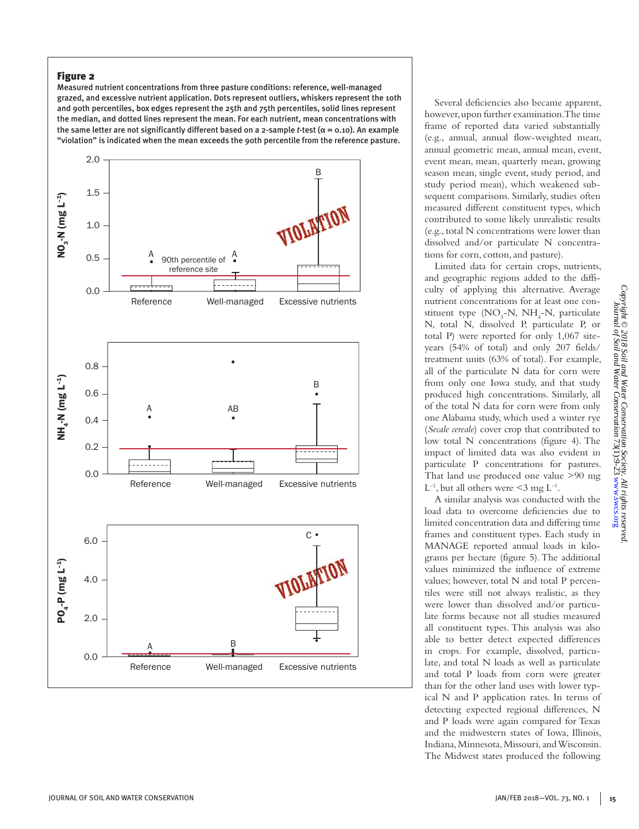Measured nutrient concentrations from three pasture conditions: reference, well-managed grazed, and excessive nutrient application. Dots represent outliers, whiskers represent the 10th and 90th percentiles, box edges represent the 25th and 75th percentiles, solid lines represent the median, and dotted lines represent the mean. For each nutrient, mean concentrations with the same letter are not significantly different based on a 2-sample *t*-test (α = 0.10). An example "violation" is indicated when the mean exceeds the 90th percentile from the reference pasture.



Several deficiencies also became apparent, however, upon further examination. The time frame of reported data varied substantially (e.g., annual, annual flow-weighted mean, annual geometric mean, annual mean, event, event mean, mean, quarterly mean, growing season mean, single event, study period, and study period mean), which weakened subsequent comparisons. Similarly, studies often measured different constituent types, which contributed to some likely unrealistic results (e.g., total N concentrations were lower than dissolved and/or particulate N concentrations for corn, cotton, and pasture).

Limited data for certain crops, nutrients, and geographic regions added to the difficulty of applying this alternative. Average nutrient concentrations for at least one constituent type ( $NO<sub>3</sub>$ -N, NH<sub>4</sub>-N, particulate N, total N, dissolved P, particulate P, or total P) were reported for only 1,067 siteyears (54% of total) and only 207 fields/ treatment units (63% of total). For example, all of the particulate N data for corn were from only one Iowa study, and that study produced high concentrations. Similarly, all of the total N data for corn were from only one Alabama study, which used a winter rye (*Secale cereale*) cover crop that contributed to low total N concentrations (figure 4). The impact of limited data was also evident in particulate P concentrations for pastures. That land use produced one value >90 mg  $L^{-1}$ , but all others were <3 mg  $L^{-1}$ .

A similar analysis was conducted with the load data to overcome deficiencies due to limited concentration data and differing time frames and constituent types. Each study in MANAGE reported annual loads in kilograms per hectare (figure 5). The additional values minimized the influence of extreme values; however, total N and total P percentiles were still not always realistic, as they were lower than dissolved and/or particulate forms because not all studies measured all constituent types. This analysis was also able to better detect expected differences in crops. For example, dissolved, particulate, and total N loads as well as particulate and total P loads from corn were greater than for the other land uses with lower typical N and P application rates. In terms of detecting expected regional differences, N and P loads were again compared for Texas and the midwestern states of Iowa, Illinois, Indiana, Minnesota, Missouri, and Wisconsin. The Midwest states produced the following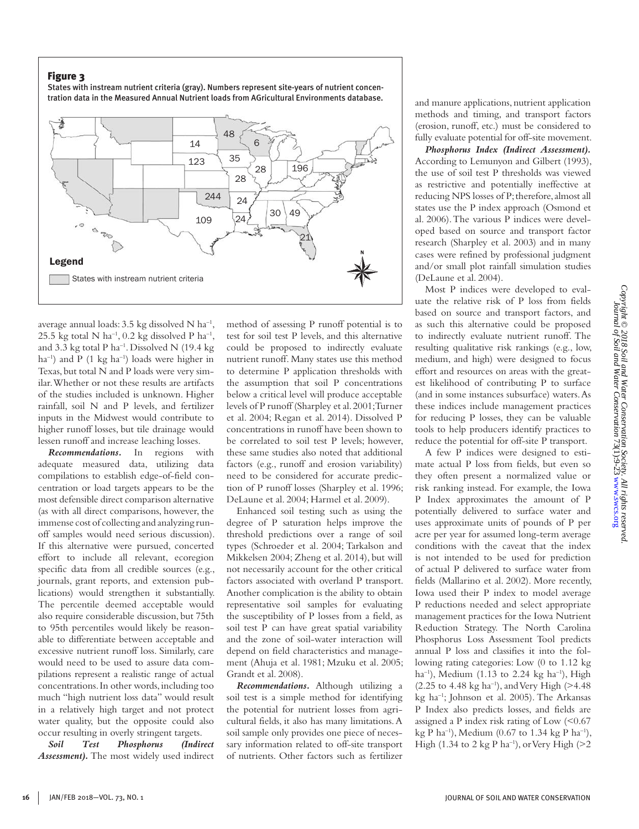States with instream nutrient criteria (gray). Numbers represent site-years of nutrient concentration data in the Measured Annual Nutrient loads from AGricultural Environments database.



average annual loads:  $3.5$  kg dissolved N ha<sup>-1</sup>, 25.5 kg total N ha<sup>-1</sup>, 0.2 kg dissolved P ha<sup>-1</sup>, and 3.3 kg total P ha<sup>-1</sup>. Dissolved N (19.4 kg) ha<sup>-1</sup>) and P (1 kg ha<sup>-1</sup>) loads were higher in Texas, but total N and P loads were very similar. Whether or not these results are artifacts of the studies included is unknown. Higher rainfall, soil N and P levels, and fertilizer inputs in the Midwest would contribute to higher runoff losses, but tile drainage would lessen runoff and increase leaching losses.

*Recommendations.* In regions with adequate measured data, utilizing data compilations to establish edge-of-field concentration or load targets appears to be the most defensible direct comparison alternative (as with all direct comparisons, however, the immense cost of collecting and analyzing runoff samples would need serious discussion). If this alternative were pursued, concerted effort to include all relevant, ecoregion specific data from all credible sources (e.g., journals, grant reports, and extension publications) would strengthen it substantially. The percentile deemed acceptable would also require considerable discussion, but 75th to 95th percentiles would likely be reasonable to differentiate between acceptable and excessive nutrient runoff loss. Similarly, care would need to be used to assure data compilations represent a realistic range of actual concentrations. In other words, including too much "high nutrient loss data" would result in a relatively high target and not protect water quality, but the opposite could also occur resulting in overly stringent targets.

*Soil Test Phosphorus (Indirect Assessment).* The most widely used indirect method of assessing P runoff potential is to test for soil test P levels, and this alternative could be proposed to indirectly evaluate nutrient runoff. Many states use this method to determine P application thresholds with the assumption that soil P concentrations below a critical level will produce acceptable levels of P runoff (Sharpley et al. 2001; Turner et al. 2004; Regan et al. 2014). Dissolved P concentrations in runoff have been shown to be correlated to soil test P levels; however, these same studies also noted that additional factors (e.g., runoff and erosion variability) need to be considered for accurate prediction of P runoff losses (Sharpley et al. 1996; DeLaune et al. 2004; Harmel et al. 2009).

Enhanced soil testing such as using the degree of P saturation helps improve the threshold predictions over a range of soil types (Schroeder et al. 2004; Tarkalson and Mikkelsen 2004; Zheng et al. 2014), but will not necessarily account for the other critical factors associated with overland P transport. Another complication is the ability to obtain representative soil samples for evaluating the susceptibility of P losses from a field, as soil test P can have great spatial variability and the zone of soil-water interaction will depend on field characteristics and management (Ahuja et al. 1981; Mzuku et al. 2005; Grandt et al. 2008).

*Recommendations.* Although utilizing a soil test is a simple method for identifying the potential for nutrient losses from agricultural fields, it also has many limitations. A soil sample only provides one piece of necessary information related to off-site transport of nutrients. Other factors such as fertilizer

and manure applications, nutrient application methods and timing, and transport factors (erosion, runoff, etc.) must be considered to fully evaluate potential for off-site movement.

*Phosphorus Index (Indirect Assessment).*  According to Lemunyon and Gilbert (1993), the use of soil test P thresholds was viewed as restrictive and potentially ineffective at reducing NPS losses of P; therefore, almost all states use the P index approach (Osmond et al. 2006). The various P indices were developed based on source and transport factor research (Sharpley et al. 2003) and in many cases were refined by professional judgment and/or small plot rainfall simulation studies (DeLaune et al. 2004).

Most P indices were developed to evaluate the relative risk of P loss from fields based on source and transport factors, and as such this alternative could be proposed to indirectly evaluate nutrient runoff. The resulting qualitative risk rankings (e.g., low, medium, and high) were designed to focus effort and resources on areas with the greatest likelihood of contributing P to surface (and in some instances subsurface) waters. As these indices include management practices for reducing P losses, they can be valuable tools to help producers identify practices to reduce the potential for off-site P transport.

A few P indices were designed to estimate actual P loss from fields, but even so they often present a normalized value or risk ranking instead. For example, the Iowa P Index approximates the amount of P potentially delivered to surface water and uses approximate units of pounds of P per acre per year for assumed long-term average conditions with the caveat that the index is not intended to be used for prediction of actual P delivered to surface water from fields (Mallarino et al. 2002). More recently, Iowa used their P index to model average P reductions needed and select appropriate management practices for the Iowa Nutrient Reduction Strategy. The North Carolina Phosphorus Loss Assessment Tool predicts annual P loss and classifies it into the following rating categories: Low (0 to 1.12 kg ha<sup>-1</sup>), Medium (1.13 to 2.24 kg ha<sup>-1</sup>), High  $(2.25 \text{ to } 4.48 \text{ kg ha}^{-1})$ , and Very High (>4.48) kg ha–1; Johnson et al. 2005). The Arkansas P Index also predicts losses, and fields are assigned a P index risk rating of Low  $\leq 0.67$ kg P ha<sup>-1</sup>), Medium (0.67 to 1.34 kg P ha<sup>-1</sup>), High (1.34 to 2 kg P ha<sup>-1</sup>), or Very High ( $>2$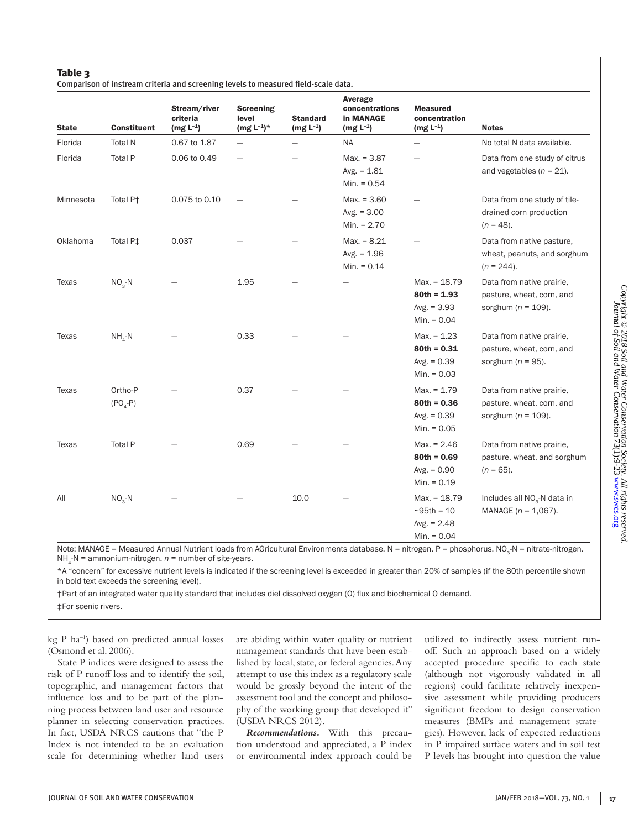| Comparison of instream criteria and screening levels to measured field-scale data. |  |  |
|------------------------------------------------------------------------------------|--|--|
|------------------------------------------------------------------------------------|--|--|

| <b>State</b> | <b>Constituent</b>   | Stream/river<br>criteria<br>$(mg L^{-1})$ | <b>Screening</b><br>level<br>$(mg L^{-1})^*$ | <b>Standard</b><br>$(mg L^{-1})$ | Average<br>concentrations<br>in MANAGE<br>$(mg L^{-1})$ | <b>Measured</b><br>concentration<br>$(mg L^{-1})$                 | <b>Notes</b>                                                                     |
|--------------|----------------------|-------------------------------------------|----------------------------------------------|----------------------------------|---------------------------------------------------------|-------------------------------------------------------------------|----------------------------------------------------------------------------------|
| Florida      | <b>Total N</b>       | 0.67 to 1.87                              | $\overline{\phantom{0}}$                     |                                  | <b>NA</b>                                               | $\qquad \qquad -$                                                 | No total N data available.                                                       |
| Florida      | <b>Total P</b>       | 0.06 to 0.49                              | $\overline{\phantom{0}}$                     |                                  | $Max. = 3.87$<br>Avg. $= 1.81$<br>Min. $= 0.54$         | $\overline{\phantom{0}}$                                          | Data from one study of citrus<br>and vegetables ( $n = 21$ ).                    |
| Minnesota    | Total P <sup>+</sup> | 0.075 to 0.10                             |                                              |                                  | $Max. = 3.60$<br>Avg. $= 3.00$<br>Min. $= 2.70$         |                                                                   | Data from one study of tile-<br>drained corn production<br>$(n = 48)$ .          |
| Oklahoma     | Total P‡             | 0.037                                     |                                              |                                  | $Max. = 8.21$<br>Avg. $= 1.96$<br>Min. $= 0.14$         |                                                                   | Data from native pasture,<br>wheat, peanuts, and sorghum<br>$(n = 244)$ .        |
| <b>Texas</b> | $NO3-N$              |                                           | 1.95                                         |                                  |                                                         | $Max. = 18.79$<br>$80th = 1.93$<br>Avg. $= 3.93$<br>Min. $= 0.04$ | Data from native prairie,<br>pasture, wheat, corn, and<br>sorghum ( $n = 109$ ). |
| Texas        | $NH_{4}$ -N          |                                           | 0.33                                         |                                  |                                                         | $Max. = 1.23$<br>$80th = 0.31$<br>$Avg. = 0.39$<br>Min. $= 0.03$  | Data from native prairie,<br>pasture, wheat, corn, and<br>sorghum ( $n = 95$ ).  |
| <b>Texas</b> | Ortho-P<br>$(PO4-P)$ |                                           | 0.37                                         |                                  |                                                         | $Max. = 1.79$<br>$80th = 0.36$<br>Avg. $= 0.39$<br>$Min. = 0.05$  | Data from native prairie,<br>pasture, wheat, corn, and<br>sorghum ( $n = 109$ ). |
| Texas        | <b>Total P</b>       |                                           | 0.69                                         |                                  |                                                         | $Max. = 2.46$<br>$80th = 0.69$<br>Avg. $= 0.90$<br>$Min. = 0.19$  | Data from native prairie,<br>pasture, wheat, and sorghum<br>$(n = 65)$ .         |
| All          | $NO3-N$              |                                           |                                              | 10.0                             |                                                         | $Max. = 18.79$<br>$-95th = 10$<br>Avg. $= 2.48$<br>Min. $= 0.04$  | Includes all NO <sub>3</sub> -N data in<br>MANAGE ( $n = 1,067$ ).               |

Note: MANAGE = Measured Annual Nutrient loads from AGricultural Environments database. N = nitrogen. P = phosphorus. NO<sub>3</sub>-N = nitrate-nitrogen. NH<sub>4</sub>-N = ammonium-nitrogen. *n* = number of site-years.

\*A "concern" for excessive nutrient levels is indicated if the screening level is exceeded in greater than 20% of samples (if the 80th percentile shown in bold text exceeds the screening level).

†Part of an integrated water quality standard that includes diel dissolved oxygen (O) flux and biochemical O demand. ‡For scenic rivers.

kg P ha–1) based on predicted annual losses (Osmond et al. 2006).

State P indices were designed to assess the risk of P runoff loss and to identify the soil, topographic, and management factors that influence loss and to be part of the planning process between land user and resource planner in selecting conservation practices. In fact, USDA NRCS cautions that "the P Index is not intended to be an evaluation scale for determining whether land users are abiding within water quality or nutrient management standards that have been established by local, state, or federal agencies. Any attempt to use this index as a regulatory scale would be grossly beyond the intent of the assessment tool and the concept and philosophy of the working group that developed it" (USDA NRCS 2012).

*Recommendations.* With this precaution understood and appreciated, a P index or environmental index approach could be

utilized to indirectly assess nutrient runoff. Such an approach based on a widely accepted procedure specific to each state (although not vigorously validated in all regions) could facilitate relatively inexpensive assessment while providing producers significant freedom to design conservation measures (BMPs and management strategies). However, lack of expected reductions in P impaired surface waters and in soil test P levels has brought into question the value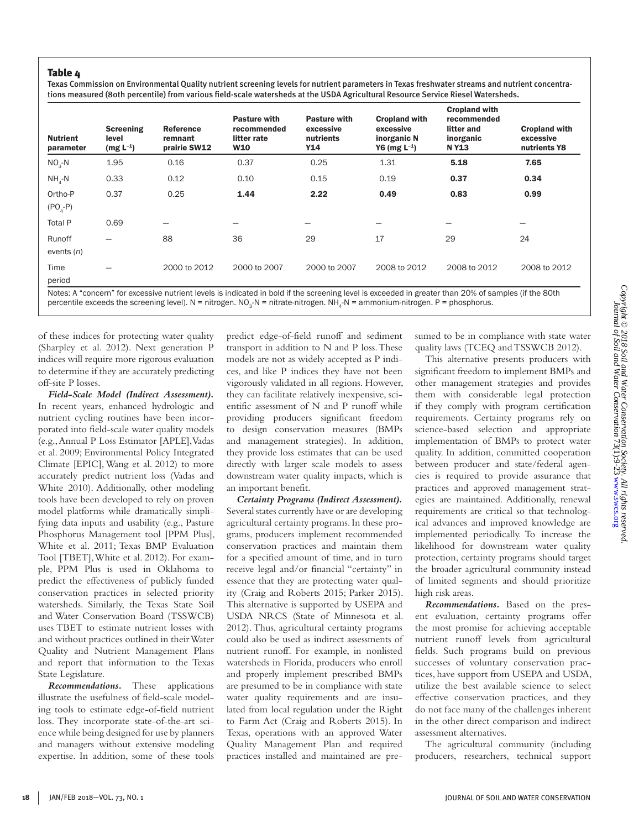Texas Commission on Environmental Quality nutrient screening levels for nutrient parameters in Texas freshwater streams and nutrient concentrations measured (80th percentile) from various field-scale watersheds at the USDA Agricultural Resource Service Riesel Watersheds.

| <b>Nutrient</b><br>parameter                                                                                                                         | <b>Screening</b><br>level<br>$(mg L^{-1})$ | <b>Reference</b><br>remnant<br>prairie SW12 | <b>Pasture with</b><br>recommended<br>litter rate<br><b>W10</b> | Pasture with<br>excessive<br>nutrients<br>Y14 | <b>Cropland with</b><br>excessive<br>inorganic N<br>Y6 (mg $L^{-1}$ ) | <b>Cropland with</b><br>recommended<br>litter and<br>inorganic<br>N Y13 | <b>Cropland with</b><br>excessive<br>nutrients Y8 |
|------------------------------------------------------------------------------------------------------------------------------------------------------|--------------------------------------------|---------------------------------------------|-----------------------------------------------------------------|-----------------------------------------------|-----------------------------------------------------------------------|-------------------------------------------------------------------------|---------------------------------------------------|
| $NO3-N$                                                                                                                                              | 1.95                                       | 0.16                                        | 0.37                                                            | 0.25                                          | 1.31                                                                  | 5.18                                                                    | 7.65                                              |
| $NH_{4}$ -N                                                                                                                                          | 0.33                                       | 0.12                                        | 0.10                                                            | 0.15                                          | 0.19                                                                  | 0.37                                                                    | 0.34                                              |
| Ortho-P<br>$(PO4-P)$                                                                                                                                 | 0.37                                       | 0.25                                        | 1.44                                                            | 2.22                                          | 0.49                                                                  | 0.83                                                                    | 0.99                                              |
| Total P                                                                                                                                              | 0.69                                       |                                             |                                                                 |                                               |                                                                       |                                                                         |                                                   |
| Runoff<br>events $(n)$                                                                                                                               |                                            | 88                                          | 36                                                              | 29                                            | 17                                                                    | 29                                                                      | 24                                                |
| Time<br>period                                                                                                                                       |                                            | 2000 to 2012                                | 2000 to 2007                                                    | 2000 to 2007                                  | 2008 to 2012                                                          | 2008 to 2012                                                            | 2008 to 2012                                      |
| Notes: A "concern" for excessive nutrient levels is indicated in bold if the screening level is exceeded in greater than 20% of samples (if the 80th |                                            |                                             |                                                                 |                                               |                                                                       |                                                                         |                                                   |

percentile exceeds the screening level).  $N =$  nitrogen.  $NO_3-N =$  nitrate-nitrogen.  $NH_3-N =$  ammonium-nitrogen.  $P =$  phosphorus.

of these indices for protecting water quality (Sharpley et al. 2012). Next generation P indices will require more rigorous evaluation to determine if they are accurately predicting off-site P losses.

*Field-Scale Model (Indirect Assessment).*  In recent years, enhanced hydrologic and nutrient cycling routines have been incorporated into field-scale water quality models (e.g., Annual P Loss Estimator [APLE], Vadas et al. 2009; Environmental Policy Integrated Climate [EPIC], Wang et al. 2012) to more accurately predict nutrient loss (Vadas and White 2010). Additionally, other modeling tools have been developed to rely on proven model platforms while dramatically simplifying data inputs and usability (e.g., Pasture Phosphorus Management tool [PPM Plus], White et al. 2011; Texas BMP Evaluation Tool [TBET], White et al. 2012). For example, PPM Plus is used in Oklahoma to predict the effectiveness of publicly funded conservation practices in selected priority watersheds. Similarly, the Texas State Soil and Water Conservation Board (TSSWCB) uses TBET to estimate nutrient losses with and without practices outlined in their Water Quality and Nutrient Management Plans and report that information to the Texas State Legislature.

*Recommendations.* These applications illustrate the usefulness of field-scale modeling tools to estimate edge-of-field nutrient loss. They incorporate state-of-the-art science while being designed for use by planners and managers without extensive modeling expertise. In addition, some of these tools predict edge-of-field runoff and sediment transport in addition to N and P loss. These models are not as widely accepted as P indices, and like P indices they have not been vigorously validated in all regions. However, they can facilitate relatively inexpensive, scientific assessment of N and P runoff while providing producers significant freedom to design conservation measures (BMPs and management strategies). In addition, they provide loss estimates that can be used directly with larger scale models to assess downstream water quality impacts, which is an important benefit.

*Certainty Programs (Indirect Assessment).*  Several states currently have or are developing agricultural certainty programs. In these programs, producers implement recommended conservation practices and maintain them for a specified amount of time, and in turn receive legal and/or financial "certainty" in essence that they are protecting water quality (Craig and Roberts 2015; Parker 2015). This alternative is supported by USEPA and USDA NRCS (State of Minnesota et al. 2012). Thus, agricultural certainty programs could also be used as indirect assessments of nutrient runoff. For example, in nonlisted watersheds in Florida, producers who enroll and properly implement prescribed BMPs are presumed to be in compliance with state water quality requirements and are insulated from local regulation under the Right to Farm Act (Craig and Roberts 2015). In Texas, operations with an approved Water Quality Management Plan and required practices installed and maintained are presumed to be in compliance with state water quality laws (TCEQ and TSSWCB 2012).

This alternative presents producers with significant freedom to implement BMPs and other management strategies and provides them with considerable legal protection if they comply with program certification requirements. Certainty programs rely on science-based selection and appropriate implementation of BMPs to protect water quality. In addition, committed cooperation between producer and state/federal agencies is required to provide assurance that practices and approved management strategies are maintained. Additionally, renewal requirements are critical so that technological advances and improved knowledge are implemented periodically. To increase the likelihood for downstream water quality protection, certainty programs should target the broader agricultural community instead of limited segments and should prioritize high risk areas.

*Recommendations.* Based on the present evaluation, certainty programs offer the most promise for achieving acceptable nutrient runoff levels from agricultural fields. Such programs build on previous successes of voluntary conservation practices, have support from USEPA and USDA, utilize the best available science to select effective conservation practices, and they do not face many of the challenges inherent in the other direct comparison and indirect assessment alternatives.

The agricultural community (including producers, researchers, technical support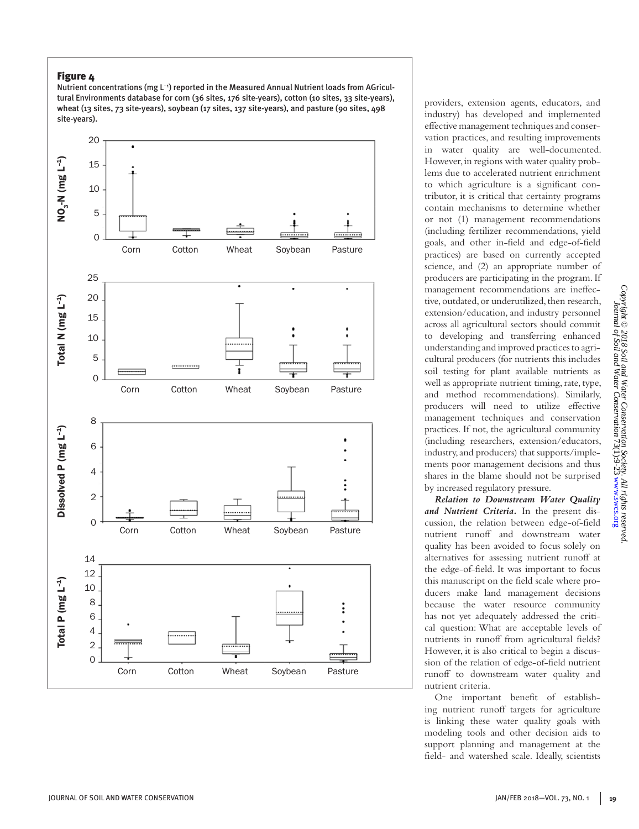Nutrient concentrations (mg L–1) reported in the Measured Annual Nutrient loads from AGricultural Environments database for corn (36 sites, 176 site-years), cotton (10 sites, 33 site-years), wheat (13 sites, 73 site-years), soybean (17 sites, 137 site-years), and pasture (90 sites, 498 site-years).



providers, extension agents, educators, and industry) has developed and implemented effective management techniques and conservation practices, and resulting improvements in water quality are well-documented. However, in regions with water quality problems due to accelerated nutrient enrichment to which agriculture is a significant contributor, it is critical that certainty programs contain mechanisms to determine whether or not (1) management recommendations (including fertilizer recommendations, yield goals, and other in-field and edge-of-field practices) are based on currently accepted science, and (2) an appropriate number of producers are participating in the program. If management recommendations are ineffective, outdated, or underutilized, then research, extension/education, and industry personnel across all agricultural sectors should commit to developing and transferring enhanced understanding and improved practices to agricultural producers (for nutrients this includes soil testing for plant available nutrients as well as appropriate nutrient timing, rate, type, and method recommendations). Similarly, producers will need to utilize effective management techniques and conservation practices. If not, the agricultural community (including researchers, extension/educators, industry, and producers) that supports/implements poor management decisions and thus shares in the blame should not be surprised by increased regulatory pressure.

*Relation to Downstream Water Quality and Nutrient Criteria.* In the present discussion, the relation between edge-of-field nutrient runoff and downstream water quality has been avoided to focus solely on alternatives for assessing nutrient runoff at the edge-of-field. It was important to focus this manuscript on the field scale where producers make land management decisions because the water resource community has not yet adequately addressed the critical question: What are acceptable levels of nutrients in runoff from agricultural fields? However, it is also critical to begin a discussion of the relation of edge-of-field nutrient runoff to downstream water quality and nutrient criteria.

One important benefit of establishing nutrient runoff targets for agriculture is linking these water quality goals with modeling tools and other decision aids to support planning and management at the field- and watershed scale. Ideally, scientists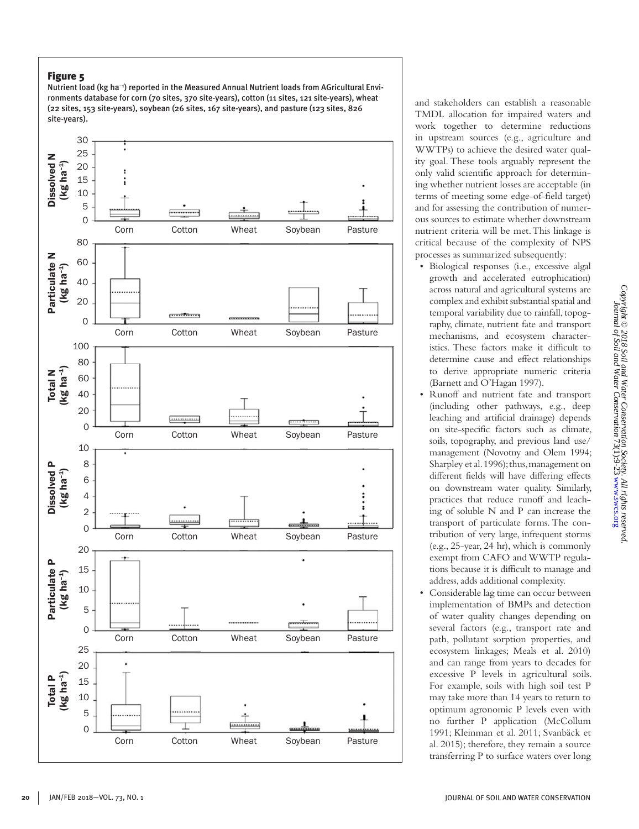Nutrient load (kg ha<sup>-1</sup>) reported in the Measured Annual Nutrient loads from AGricultural Environments database for corn (70 sites, 370 site-years), cotton (11 sites, 121 site-years), wheat (22 sites, 153 site-years), soybean (26 sites, 167 site-years), and pasture (123 sites, 826 site-years).



and stakeholders can establish a reasonable TMDL allocation for impaired waters and work together to determine reductions in upstream sources (e.g., agriculture and WWTPs) to achieve the desired water quality goal. These tools arguably represent the only valid scientific approach for determining whether nutrient losses are acceptable (in terms of meeting some edge-of-field target) and for assessing the contribution of numerous sources to estimate whether downstream nutrient criteria will be met. This linkage is critical because of the complexity of NPS processes as summarized subsequently:

- Biological responses (i.e., excessive algal growth and accelerated eutrophication) across natural and agricultural systems are complex and exhibit substantial spatial and temporal variability due to rainfall, topography, climate, nutrient fate and transport mechanisms, and ecosystem characteristics. These factors make it difficult to determine cause and effect relationships to derive appropriate numeric criteria (Barnett and O'Hagan 1997).
- Runoff and nutrient fate and transport (including other pathways, e.g., deep leaching and artificial drainage) depends on site-specific factors such as climate, soils, topography, and previous land use/ management (Novotny and Olem 1994; Sharpley et al. 1996); thus, management on different fields will have differing effects on downstream water quality. Similarly, practices that reduce runoff and leaching of soluble N and P can increase the transport of particulate forms. The contribution of very large, infrequent storms (e.g., 25-year, 24 hr), which is commonly exempt from CAFO and WWTP regulations because it is difficult to manage and address, adds additional complexity.
- Considerable lag time can occur between implementation of BMPs and detection of water quality changes depending on several factors (e.g., transport rate and path, pollutant sorption properties, and ecosystem linkages; Meals et al. 2010) and can range from years to decades for excessive P levels in agricultural soils. For example, soils with high soil test P may take more than 14 years to return to optimum agronomic P levels even with no further P application (McCollum 1991; Kleinman et al. 2011; Svanbäck et al. 2015); therefore, they remain a source transferring P to surface waters over long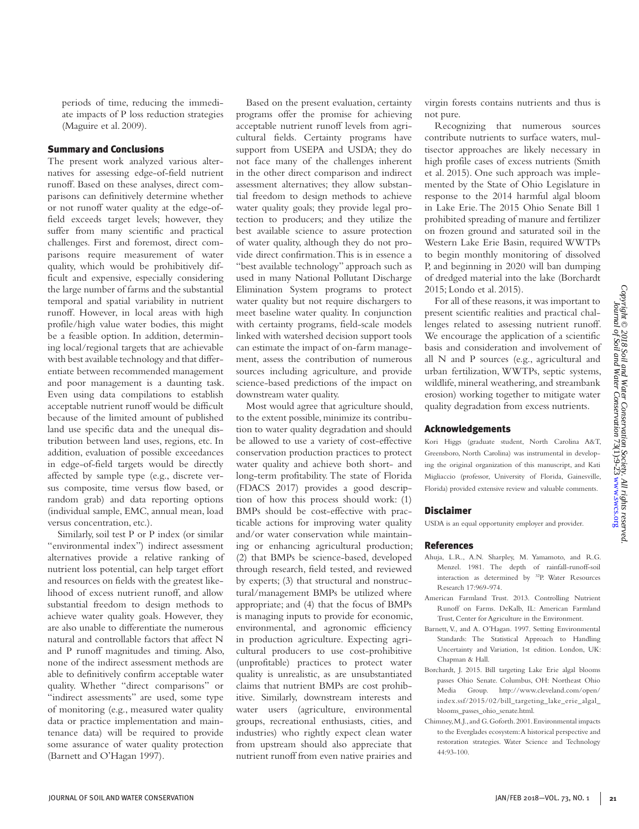periods of time, reducing the immediate impacts of P loss reduction strategies (Maguire et al. 2009).

### Summary and Conclusions

The present work analyzed various alternatives for assessing edge-of-field nutrient runoff. Based on these analyses, direct comparisons can definitively determine whether or not runoff water quality at the edge-offield exceeds target levels; however, they suffer from many scientific and practical challenges. First and foremost, direct comparisons require measurement of water quality, which would be prohibitively difficult and expensive, especially considering the large number of farms and the substantial temporal and spatial variability in nutrient runoff. However, in local areas with high profile/high value water bodies, this might be a feasible option. In addition, determining local/regional targets that are achievable with best available technology and that differentiate between recommended management and poor management is a daunting task. Even using data compilations to establish acceptable nutrient runoff would be difficult because of the limited amount of published land use specific data and the unequal distribution between land uses, regions, etc. In addition, evaluation of possible exceedances in edge-of-field targets would be directly affected by sample type (e.g., discrete versus composite, time versus flow based, or random grab) and data reporting options (individual sample, EMC, annual mean, load versus concentration, etc.).

Similarly, soil test P or P index (or similar "environmental index") indirect assessment alternatives provide a relative ranking of nutrient loss potential, can help target effort and resources on fields with the greatest likelihood of excess nutrient runoff, and allow substantial freedom to design methods to achieve water quality goals. However, they are also unable to differentiate the numerous natural and controllable factors that affect N and P runoff magnitudes and timing. Also, none of the indirect assessment methods are able to definitively confirm acceptable water quality. Whether "direct comparisons" or "indirect assessments" are used, some type of monitoring (e.g., measured water quality data or practice implementation and maintenance data) will be required to provide some assurance of water quality protection (Barnett and O'Hagan 1997).

Based on the present evaluation, certainty programs offer the promise for achieving acceptable nutrient runoff levels from agricultural fields. Certainty programs have support from USEPA and USDA; they do not face many of the challenges inherent in the other direct comparison and indirect assessment alternatives; they allow substantial freedom to design methods to achieve water quality goals; they provide legal protection to producers; and they utilize the best available science to assure protection of water quality, although they do not provide direct confirmation. This is in essence a "best available technology" approach such as used in many National Pollutant Discharge Elimination System programs to protect water quality but not require dischargers to meet baseline water quality. In conjunction with certainty programs, field-scale models linked with watershed decision support tools can estimate the impact of on-farm management, assess the contribution of numerous sources including agriculture, and provide science-based predictions of the impact on downstream water quality.

Most would agree that agriculture should, to the extent possible, minimize its contribution to water quality degradation and should be allowed to use a variety of cost-effective conservation production practices to protect water quality and achieve both short- and long-term profitability. The state of Florida (FDACS 2017) provides a good description of how this process should work: (1) BMPs should be cost-effective with practicable actions for improving water quality and/or water conservation while maintaining or enhancing agricultural production; (2) that BMPs be science-based, developed through research, field tested, and reviewed by experts; (3) that structural and nonstructural/management BMPs be utilized where appropriate; and (4) that the focus of BMPs is managing inputs to provide for economic, environmental, and agronomic efficiency in production agriculture. Expecting agricultural producers to use cost-prohibitive (unprofitable) practices to protect water quality is unrealistic, as are unsubstantiated claims that nutrient BMPs are cost prohibitive. Similarly, downstream interests and water users (agriculture, environmental groups, recreational enthusiasts, cities, and industries) who rightly expect clean water from upstream should also appreciate that nutrient runoff from even native prairies and

virgin forests contains nutrients and thus is not pure.

Recognizing that numerous sources contribute nutrients to surface waters, multisector approaches are likely necessary in high profile cases of excess nutrients (Smith et al. 2015). One such approach was implemented by the State of Ohio Legislature in response to the 2014 harmful algal bloom in Lake Erie. The 2015 Ohio Senate Bill 1 prohibited spreading of manure and fertilizer on frozen ground and saturated soil in the Western Lake Erie Basin, required WWTPs to begin monthly monitoring of dissolved P, and beginning in 2020 will ban dumping of dredged material into the lake (Borchardt 2015; Londo et al. 2015).

For all of these reasons, it was important to present scientific realities and practical challenges related to assessing nutrient runoff. We encourage the application of a scientific basis and consideration and involvement of all N and P sources (e.g., agricultural and urban fertilization, WWTPs, septic systems, wildlife, mineral weathering, and streambank erosion) working together to mitigate water quality degradation from excess nutrients.

#### Acknowledgements

Kori Higgs (graduate student, North Carolina A&T, Greensboro, North Carolina) was instrumental in developing the original organization of this manuscript, and Kati Migliaccio (professor, University of Florida, Gainesville, Florida) provided extensive review and valuable comments.

#### Disclaimer

USDA is an equal opportunity employer and provider.

#### References

- Ahuja, L.R., A.N. Sharpley, M. Yamamoto, and R.G. Menzel. 1981. The depth of rainfall-runoff-soil interaction as determined by 32P. Water Resources Research 17:969-974.
- American Farmland Trust. 2013. Controlling Nutrient Runoff on Farms. DeKalb, IL: American Farmland Trust, Center for Agriculture in the Environment.
- Barnett, V., and A. O'Hagan. 1997. Setting Environmental Standards: The Statistical Approach to Handling Uncertainty and Variation, 1st edition. London, UK: Chapman & Hall.
- Borchardt, J. 2015. Bill targeting Lake Erie algal blooms passes Ohio Senate. Columbus, OH: Northeast Ohio Media Group. http://www.cleveland.com/open/ index.ssf/2015/02/bill\_targeting\_lake\_erie\_algal\_ blooms\_passes\_ohio\_senate.html.
- Chimney, M.J., and G. Goforth. 2001. Environmental impacts to the Everglades ecosystem: A historical perspective and restoration strategies. Water Science and Technology 44:93-100.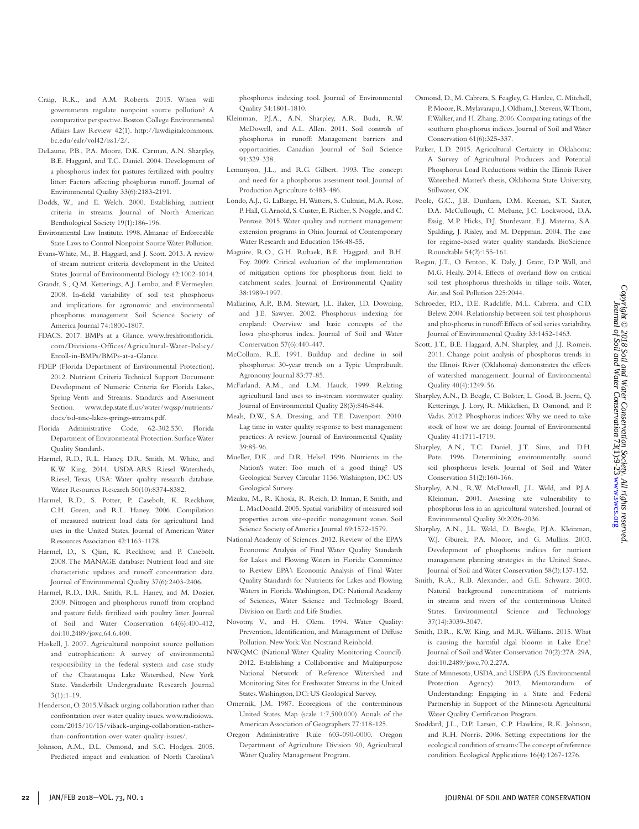a phosphorus index for pastures fertilized with poultry litter: Factors affecting phosphorus runoff. Journal of Environmental Quality 33(6):2183-2191. Dodds, W., and E. Welch. 2000. Establishing nutrient

Craig, R.K., and A.M. Roberts. 2015. When will

bc.edu/ealr/vol42/iss1/2/.

- criteria in streams. Journal of North American Benthological Society 19(1):186-196.
- Environmental Law Institute. 1998. Almanac of Enforceable State Laws to Control Nonpoint Source Water Pollution.
- Evans-White, M., B. Haggard, and J. Scott. 2013. A review of stream nutrient criteria development in the United States. Journal of Environmental Biology 42:1002-1014.
- Grandt, S., Q.M. Ketterings, A.J. Lembo, and F. Vermeylen. 2008. In-field variability of soil test phosphorus and implications for agronomic and environmental phosphorus management. Soil Science Society of America Journal 74:1800-1807.
- FDACS. 2017. BMPs at a Glance. www.freshfromflorida. com/Divisions-Offices/Agricultural-Water-Policy/ Enroll-in-BMPs/BMPs-at-a-Glance.
- FDEP (Florida Department of Environmental Protection). 2012. Nutrient Criteria Technical Support Document: Development of Numeric Criteria for Florida Lakes, Spring Vents and Streams. Standards and Assessment Section. www.dep.state.fl.us/water/wqssp/nutrients/ docs/tsd-nnc-lakes-springs-streams.pdf.
- Florida Administrative Code, 62-302.530. Florida Department of Environmental Protection. Surface Water Quality Standards.
- Harmel, R.D., R.L. Haney, D.R. Smith, M. White, and K.W. King. 2014. USDA-ARS Riesel Watersheds, Riesel, Texas, USA: Water quality research database. Water Resources Research 50(10):8374-8382.
- Harmel, R.D., S. Potter, P. Casebolt, K. Reckhow, C.H. Green, and R.L. Haney. 2006. Compilation of measured nutrient load data for agricultural land uses in the United States. Journal of American Water Resources Association 42:1163-1178.
- Harmel, D., S. Qian, K. Reckhow, and P. Casebolt. 2008. The MANAGE database: Nutrient load and site characteristic updates and runoff concentration data. Journal of Environmental Quality 37(6):2403-2406.
- Harmel, R.D., D.R. Smith, R.L. Haney, and M. Dozier. 2009. Nitrogen and phosphorus runoff from cropland and pasture fields fertilized with poultry litter. Journal of Soil and Water Conservation 64(6):400-412, doi:10.2489/jswc.64.6.400.
- Haskell, J. 2007. Agricultural nonpoint source pollution and eutrophication: A survey of environmental responsibility in the federal system and case study of the Chautauqua Lake Watershed, New York State. Vanderbilt Undergraduate Research Journal  $3(1):1-19$ .
- Henderson, O. 2015. Vilsack urging collaboration rather than confrontation over water quality issues. www.radioiowa. com/2015/10/15/vilsack-urging-collaboration-ratherthan-confrontation-over-water-quality-issues/.
- Johnson, A.M., D.L. Osmond, and S.C. Hodges. 2005. Predicted impact and evaluation of North Carolina's

phosphorus indexing tool. Journal of Environmental Quality 34:1801-1810.

- Kleinman, P.J.A., A.N. Sharpley, A.R. Buda, R.W. McDowell, and A.L. Allen. 2011. Soil controls of phosphorus in runoff: Management barriers and opportunities. Canadian Journal of Soil Science
- Lemunyon, J.L., and R.G. Gilbert. 1993. The concept and need for a phosphorus assessment tool. Journal of Production Agriculture 6:483-486.
- Londo, A.J., G. LaBarge, H. Watters, S. Culman, M.A. Rose, P. Hall, G. Arnold, S. Custer, E. Richer, S. Noggle, and C. Penrose. 2015. Water quality and nutrient management extension programs in Ohio. Journal of Contemporary Water Research and Education 156:48-55.
- Maguire, R.O., G.H. Rubaek, B.E. Haggard, and B.H. Foy. 2009. Critical evaluation of the implementation of mitigation options for phosphorus from field to catchment scales. Journal of Environmental Quality 38:1989-1997.
- Mallarino, A.P., B.M. Stewart, J.L. Baker, J.D. Downing, and J.E. Sawyer. 2002. Phosphorus indexing for cropland: Overview and basic concepts of the Iowa phosphorus index. Journal of Soil and Water Conservation 57(6):440-447.
- McCollum, R.E. 1991. Buildup and decline in soil phosphorus: 30-year trends on a Typic Umprabuult. Agronomy Journal 83:77-85.
- McFarland, A.M., and L.M. Hauck. 1999. Relating agricultural land uses to in-stream stormwater quality. Journal of Environmental Quality 28(3):846-844.
- Meals, D.W., S.A. Dressing, and T.E. Davenport. 2010. Lag time in water quality response to best management practices: A review. Journal of Environmental Quality 39:85-96.
- Mueller, D.K., and D.R. Helsel. 1996. Nutrients in the Nation's water: Too much of a good thing? US Geological Survey Circular 1136. Washington, DC: US Geological Survey.
- Mzuku, M., R. Khosla, R. Reich, D. Inman, F. Smith, and L. MacDonald. 2005. Spatial variability of measured soil properties across site-specific management zones. Soil Science Society of America Journal 69:1572-1579.
- National Academy of Sciences. 2012. Review of the EPA's Economic Analysis of Final Water Quality Standards for Lakes and Flowing Waters in Florida: Committee to Review EPA's Economic Analysis of Final Water Quality Standards for Nutrients for Lakes and Flowing Waters in Florida. Washington, DC: National Academy of Sciences, Water Science and Technology Board, Division on Earth and Life Studies.
- Novotny, V., and H. Olem. 1994. Water Quality: Prevention, Identification, and Management of Diffuse Pollution. New York: Van Nostrand Reinhold.
- NWQMC (National Water Quality Monitoring Council). 2012. Establishing a Collaborative and Multipurpose National Network of Reference Watershed and Monitoring Sites for Freshwater Streams in the United States. Washington, DC: US Geological Survey.
- Omernik, J.M. 1987. Ecoregions of the conterminous United States. Map (scale 1:7,500,000). Annals of the American Association of Geographers 77:118-125.
- Oregon Administrative Rule 603-090-0000. Oregon Department of Agriculture Division 90, Agricultural Water Quality Management Program.
- Osmond, D., M. Cabrera, S. Feagley, G. Hardee, C. Mitchell, P. Moore, R. Mylavarapu, J. Oldham, J. Stevens, W. Thom, F. Walker, and H. Zhang. 2006. Comparing ratings of the southern phosphorus indices. Journal of Soil and Water Conservation 61(6):325-337.
- Parker, L.D. 2015. Agricultural Certainty in Oklahoma: A Survey of Agricultural Producers and Potential Phosphorus Load Reductions within the Illinois River Watershed. Master's thesis, Oklahoma State University, Stillwater, OK.
- Poole, G.C., J.B. Dunham, D.M. Keenan, S.T. Sauter, D.A. McCullough, C. Mebane, J.C. Lockwood, D.A. Essig, M.P. Hicks, D.J. Sturdevant, E.J. Materna, S.A. Spalding, J. Risley, and M. Deppman. 2004. The case for regime-based water quality standards. BioScience Roundtable 54(2):155-161.
- Regan, J.T., O. Fenton, K. Daly, J. Grant, D.P. Wall, and M.G. Healy. 2014. Effects of overland flow on critical soil test phosphorus thresholds in tillage soils. Water, Air, and Soil Pollution 225:2044.
- Schroeder, P.D., D.E. Radcliffe, M.L. Cabrera, and C.D. Belew. 2004. Relationship between soil test phosphorus and phosphorus in runoff: Effects of soil series variability. Journal of Environmental Quality 33:1452-1463.
- Scott, J.T., B.E. Haggard, A.N. Sharpley, and J.J. Romeis. 2011. Change point analysis of phosphorus trends in the Illinois River (Oklahoma) demonstrates the effects of watershed management. Journal of Environmental Quality 40(4):1249-56.
- Sharpley, A.N., D. Beegle, C. Bolster, L. Good, B. Joern, Q. Ketterings, J. Lory, R. Mikkelsen, D. Osmond, and P. Vadas. 2012. Phosphorus indices: Why we need to take stock of how we are doing. Journal of Environmental Quality 41:1711-1719.
- Sharpley, A.N., T.C. Daniel, J.T. Sims, and D.H. Pote. 1996. Determining environmentally sound soil phosphorus levels. Journal of Soil and Water Conservation 51(2):160-166.
- Sharpley, A.N., R.W. McDowell, J.L. Weld, and P.J.A. Kleinman. 2001. Assessing site vulnerability to phosphorus loss in an agricultural watershed. Journal of Environmental Quality 30:2026-2036.
- Sharpley, A.N., J.L. Weld, D. Beegle, P.J.A. Kleinman, W.J. Gburek, P.A. Moore, and G. Mullins. 2003. Development of phosphorus indices for nutrient management planning strategies in the United States. Journal of Soil and Water Conservation 58(3):137-152.
- Smith, R.A., R.B. Alexander, and G.E. Schwarz. 2003. Natural background concentrations of nutrients in streams and rivers of the conterminous United States. Environmental Science and Technology 37(14):3039-3047.
- Smith, D.R., K.W. King, and M.R. Williams. 2015. What is causing the harmful algal blooms in Lake Erie? Journal of Soil and Water Conservation 70(2):27A-29A, doi:10.2489/jswc.70.2.27A.
- State of Minnesota, USDA, and USEPA (US Environmental Protection Agency). 2012. Memorandum of Understanding: Engaging in a State and Federal Partnership in Support of the Minnesota Agricultural Water Quality Certification Program.
- Stoddard, J.L., D.P. Larsen, C.P. Hawkins, R.K. Johnson, and R.H. Norris. 2006. Setting expectations for the ecological condition of streams: The concept of reference condition. Ecological Applications 16(4):1267-1276.